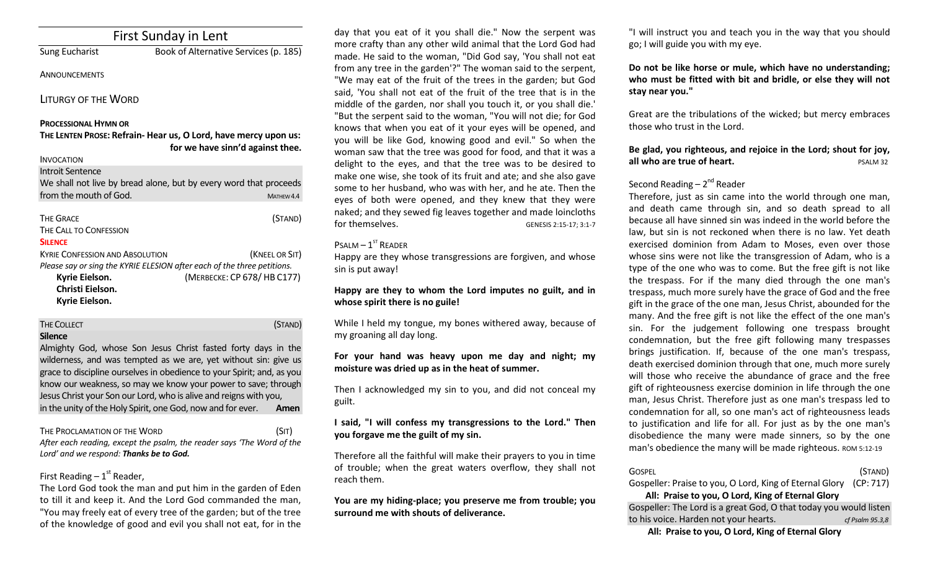| <b>First Sunday in Lent</b>                                  |                                                                                                     |  |
|--------------------------------------------------------------|-----------------------------------------------------------------------------------------------------|--|
| <b>Sung Eucharist</b>                                        | Book of Alternative Services (p. 185)                                                               |  |
| <b>ANNOUNCEMENTS</b>                                         |                                                                                                     |  |
| <b>LITURGY OF THE WORD</b>                                   |                                                                                                     |  |
| <b>PROCESSIONAL HYMN OR</b>                                  |                                                                                                     |  |
|                                                              | THE LENTEN PROSE: Refrain- Hear us, O Lord, have mercy upon us:<br>for we have sinn'd against thee. |  |
| <b>INVOCATION</b>                                            |                                                                                                     |  |
| <b>Introit Sentence</b>                                      |                                                                                                     |  |
|                                                              | We shall not live by bread alone, but by every word that proceeds                                   |  |
| from the mouth of God.                                       | MATHEW 4.4                                                                                          |  |
| <b>THE GRACE</b><br>THE CALL TO CONFESSION<br><b>SILENCE</b> | (STAND)                                                                                             |  |
| <b>KYRIF CONFESSION AND ABSOLUTION</b>                       | (KNEEL OR SIT)                                                                                      |  |
|                                                              | Please say or sing the KYRIE ELESION after each of the three petitions.                             |  |
| Kyrie Eielson.                                               | (MERBECKE: CP 678/HB C177)                                                                          |  |
| Christi Eielson.                                             |                                                                                                     |  |
| Kyrie Eielson.                                               |                                                                                                     |  |

THE COLLECT **THE COLLECT COLLECT COLLECT COLLECT COLLECT COLLECT COLLECT** 

#### **Silence**

Almighty God, whose Son Jesus Christ fasted forty days in the wilderness, and was tempted as we are, yet without sin: give us grace to discipline ourselves in obedience to your Spirit; and, as you know our weakness, so may we know your power to save; through Jesus Christ your Son our Lord, who is alive and reigns with you, in the unity of the Holy Spirit, one God, now and for ever. **Amen**

#### THE PROCLAMATION OF THE WORD (SIT)

*After each reading, except the psalm, the reader says 'The Word of the Lord' and we respond: Thanks be to God.* 

# First Reading –  $1<sup>st</sup>$  Reader,

The Lord God took the man and put him in the garden of Eden to till it and keep it. And the Lord God commanded the man, "You may freely eat of every tree of the garden; but of the tree of the knowledge of good and evil you shall not eat, for in the

day that you eat of it you shall die." Now the serpent was more crafty than any other wild animal that the Lord God had made. He said to the woman, "Did God say, 'You shall not eat from any tree in the garden'?" The woman said to the serpent, "We may eat of the fruit of the trees in the garden; but God said, 'You shall not eat of the fruit of the tree that is in the middle of the garden, nor shall you touch it, or you shall die.' "But the serpent said to the woman, "You will not die; for God knows that when you eat of it your eyes will be opened, and you will be like God, knowing good and evil." So when the woman saw that the tree was good for food, and that it was a delight to the eyes, and that the tree was to be desired to make one wise, she took of its fruit and ate; and she also gave some to her husband, who was with her, and he ate. Then the eyes of both were opened, and they knew that they were naked; and they sewed fig leaves together and made loincloths for themselves. GENESIS 2:15-17: 3:1-7

### $P$ SALM  $-1$ <sup>ST</sup> READER

Happy are they whose transgressions are forgiven, and whose sin is put away!

# **Happy are they to whom the Lord imputes no guilt, and in whose spirit there is no guile!**

While I held my tongue, my bones withered away, because of my groaning all day long.

# **For your hand was heavy upon me day and night; my moisture was dried up as in the heat of summer.**

Then I acknowledged my sin to you, and did not conceal my guilt.

# **I said, "I will confess my transgressions to the Lord." Then you forgave me the guilt of my sin.**

Therefore all the faithful will make their prayers to you in time of trouble; when the great waters overflow, they shall not reach them.

**You are my hiding-place; you preserve me from trouble; you surround me with shouts of deliverance.** 

"I will instruct you and teach you in the way that you should go; I will guide you with my eye.

**Do not be like horse or mule, which have no understanding; who must be fitted with bit and bridle, or else they will not stay near you."** 

Great are the tribulations of the wicked; but mercy embraces those who trust in the Lord.

# **Be glad, you righteous, and rejoice in the Lord; shout for joy, all who are true of heart. PSALM 32**

# Second Reading – 2<sup>nd</sup> Reader

Therefore, just as sin came into the world through one man, and death came through sin, and so death spread to all because all have sinned sin was indeed in the world before the law, but sin is not reckoned when there is no law. Yet death exercised dominion from Adam to Moses, even over those whose sins were not like the transgression of Adam, who is a type of the one who was to come. But the free gift is not like the trespass. For if the many died through the one man's trespass, much more surely have the grace of God and the free gift in the grace of the one man, Jesus Christ, abounded for the many. And the free gift is not like the effect of the one man's sin. For the judgement following one trespass brought condemnation, but the free gift following many trespasses brings justification. If, because of the one man's trespass, death exercised dominion through that one, much more surely will those who receive the abundance of grace and the free gift of righteousness exercise dominion in life through the one man, Jesus Christ. Therefore just as one man's trespass led to condemnation for all, so one man's act of righteousness leads to justification and life for all. For just as by the one man's disobedience the many were made sinners, so by the one man's obedience the many will be made righteous. ROM 5:12-19

| <b>GOSPEL</b>                                                                                                                                 | (STAND) |
|-----------------------------------------------------------------------------------------------------------------------------------------------|---------|
| Gospeller: Praise to you, O Lord, King of Eternal Glory (CP: 717)                                                                             |         |
| $\mathbf{A} \mathbf{B}$ . The state of $\mathbf{A} \mathbf{B}$ is the state of $\mathbf{B} \mathbf{B}$ . The state of $\mathbf{A} \mathbf{B}$ |         |

# **All: Praise to you, O Lord, King of Eternal Glory** Gospeller: The Lord is a great God, O that today you would listen to his voice. Harden not your hearts. *cf Psalm 95.3,8*

**All: Praise to you, O Lord, King of Eternal Glory**